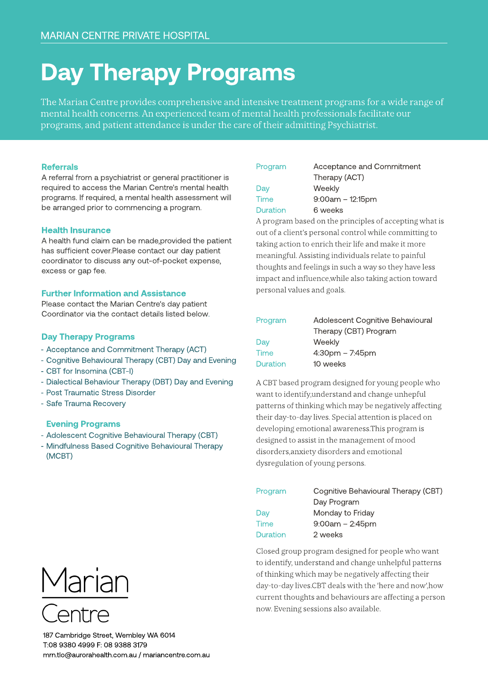# Day Therapy Programs

The Marian Centre provides comprehensive and intensive treatment programs for a wide range of mental health concerns. An experienced team of mental health professionals facilitate our programs, and patient attendance is under the care of their admitting Psychiatrist.

#### Referrals

A referral from a psychiatrist or general practitioner is required to access the Marian Centre's mental health programs. If required, a mental health assessment will be arranged prior to commencing a program.

### Health Insurance

A health fund claim can be made,provided the patient has sufficient cover.Please contact our day patient coordinator to discuss any out-of-pocket expense, excess or gap fee.

## Further Information and Assistance

Please contact the Marian Centre's day patient Coordinator via the contact details listed below.

# Day Therapy Programs

- Acceptance and Commitment Therapy (ACT)
- Cognitive Behavioural Therapy (CBT) Day and Evening
- CBT for Insomina (CBT-I)
- Dialectical Behaviour Therapy (DBT) Day and Evening
- Post Traumatic Stress Disorder
- Safe Trauma Recovery

## Evening Programs

- Adolescent Cognitive Behavioural Therapy (CBT)
- Mindfulness Based Cognitive Behavioural Therapy (MCBT)



A program based on the principles of accepting what is out of a client's personal control while committing to taking action to enrich their life and make it more meaningful. Assisting individuals relate to painful thoughts and feelings in such a way so they have less impact and influence, while also taking action toward personal values and goals.

| Program  | Adolescent Cognitive Behavioural |
|----------|----------------------------------|
|          | Therapy (CBT) Program            |
| Day      | Weekly                           |
| Time     | $4:30$ pm – 7:45pm               |
| Duration | 10 weeks                         |

A CBT based program designed for young people who want to identify, understand and change unhepful patterns of thinking which may be negatively affecting their day-to-day lives. Special attention is placed on developing emotional awareness.This program is designed to assist in the management of mood disorders, anxiety disorders and emotional dysregulation of young persons.

| Program  | Cognitive Behavioural Therapy (CBT) |
|----------|-------------------------------------|
|          | Day Program                         |
| Day      | Monday to Friday                    |
| Time     | $9:00$ am – 2:45pm                  |
| Duration | 2 weeks                             |

Closed group program designed for people who want to identify, understand and change unhelpful patterns of thinking which may be negatively affecting their day-to-day lives.CBT dealswith the'hereand now',how current thoughts and behaviours are affecting a person now. Evening sessions also available.



187 Cambridge Street, Wembley WA 6014 T:08 9380 4999 F: 08 9388 3179 mrn.tlo@aurorahealth.com.au / mariancentre.com.au